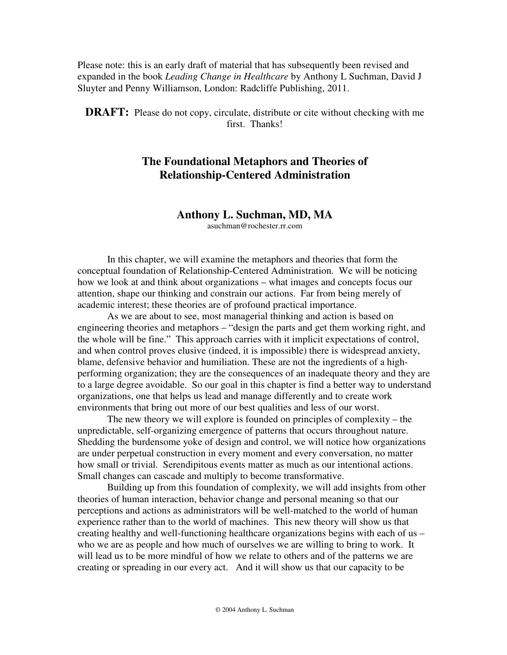Please note: this is an early draft of material that has subsequently been revised and expanded in the book *Leading Change in Healthcare* by Anthony L Suchman, David J Sluyter and Penny Williamson, London: Radcliffe Publishing, 2011.

**DRAFT:** Please do not copy, circulate, distribute or cite without checking with me first. Thanks!

# **The Foundational Metaphors and Theories of Relationship-Centered Administration**

## **Anthony L. Suchman, MD, MA**

asuchman@rochester.rr.com

In this chapter, we will examine the metaphors and theories that form the conceptual foundation of Relationship-Centered Administration. We will be noticing how we look at and think about organizations – what images and concepts focus our attention, shape our thinking and constrain our actions. Far from being merely of academic interest; these theories are of profound practical importance.

As we are about to see, most managerial thinking and action is based on engineering theories and metaphors – "design the parts and get them working right, and the whole will be fine." This approach carries with it implicit expectations of control, and when control proves elusive (indeed, it is impossible) there is widespread anxiety, blame, defensive behavior and humiliation. These are not the ingredients of a highperforming organization; they are the consequences of an inadequate theory and they are to a large degree avoidable. So our goal in this chapter is find a better way to understand organizations, one that helps us lead and manage differently and to create work environments that bring out more of our best qualities and less of our worst.

The new theory we will explore is founded on principles of complexity – the unpredictable, self-organizing emergence of patterns that occurs throughout nature. Shedding the burdensome yoke of design and control, we will notice how organizations are under perpetual construction in every moment and every conversation, no matter how small or trivial. Serendipitous events matter as much as our intentional actions. Small changes can cascade and multiply to become transformative.

Building up from this foundation of complexity, we will add insights from other theories of human interaction, behavior change and personal meaning so that our perceptions and actions as administrators will be well-matched to the world of human experience rather than to the world of machines. This new theory will show us that creating healthy and well-functioning healthcare organizations begins with each of us – who we are as people and how much of ourselves we are willing to bring to work. It will lead us to be more mindful of how we relate to others and of the patterns we are creating or spreading in our every act. And it will show us that our capacity to be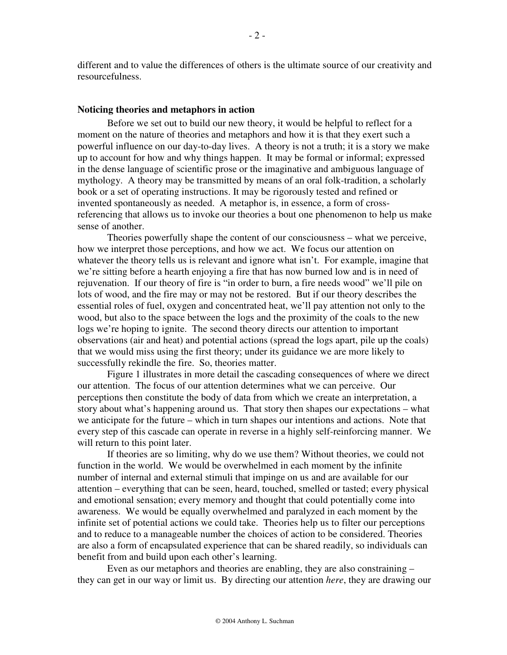different and to value the differences of others is the ultimate source of our creativity and resourcefulness.

#### **Noticing theories and metaphors in action**

Before we set out to build our new theory, it would be helpful to reflect for a moment on the nature of theories and metaphors and how it is that they exert such a powerful influence on our day-to-day lives. A theory is not a truth; it is a story we make up to account for how and why things happen. It may be formal or informal; expressed in the dense language of scientific prose or the imaginative and ambiguous language of mythology. A theory may be transmitted by means of an oral folk-tradition, a scholarly book or a set of operating instructions. It may be rigorously tested and refined or invented spontaneously as needed. A metaphor is, in essence, a form of crossreferencing that allows us to invoke our theories a bout one phenomenon to help us make sense of another.

Theories powerfully shape the content of our consciousness – what we perceive, how we interpret those perceptions, and how we act. We focus our attention on whatever the theory tells us is relevant and ignore what isn't. For example, imagine that we're sitting before a hearth enjoying a fire that has now burned low and is in need of rejuvenation. If our theory of fire is "in order to burn, a fire needs wood" we'll pile on lots of wood, and the fire may or may not be restored. But if our theory describes the essential roles of fuel, oxygen and concentrated heat, we'll pay attention not only to the wood, but also to the space between the logs and the proximity of the coals to the new logs we're hoping to ignite. The second theory directs our attention to important observations (air and heat) and potential actions (spread the logs apart, pile up the coals) that we would miss using the first theory; under its guidance we are more likely to successfully rekindle the fire. So, theories matter.

Figure 1 illustrates in more detail the cascading consequences of where we direct our attention. The focus of our attention determines what we can perceive. Our perceptions then constitute the body of data from which we create an interpretation, a story about what's happening around us. That story then shapes our expectations – what we anticipate for the future – which in turn shapes our intentions and actions. Note that every step of this cascade can operate in reverse in a highly self-reinforcing manner. We will return to this point later.

If theories are so limiting, why do we use them? Without theories, we could not function in the world. We would be overwhelmed in each moment by the infinite number of internal and external stimuli that impinge on us and are available for our attention – everything that can be seen, heard, touched, smelled or tasted; every physical and emotional sensation; every memory and thought that could potentially come into awareness. We would be equally overwhelmed and paralyzed in each moment by the infinite set of potential actions we could take. Theories help us to filter our perceptions and to reduce to a manageable number the choices of action to be considered. Theories are also a form of encapsulated experience that can be shared readily, so individuals can benefit from and build upon each other's learning.

Even as our metaphors and theories are enabling, they are also constraining – they can get in our way or limit us. By directing our attention *here*, they are drawing our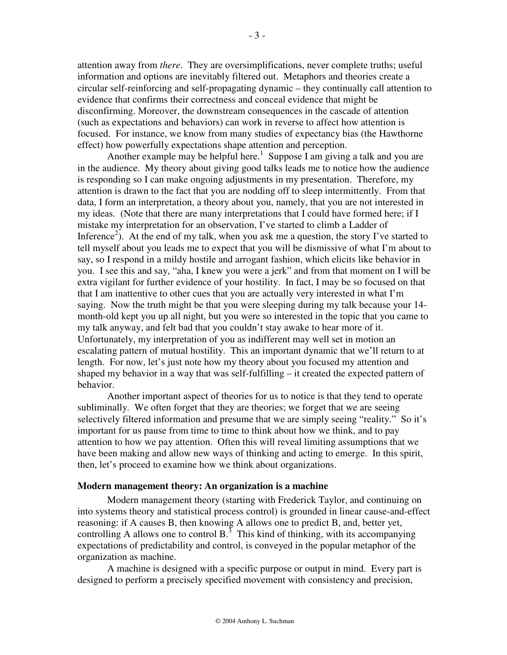attention away from *there*. They are oversimplifications, never complete truths; useful information and options are inevitably filtered out. Metaphors and theories create a circular self-reinforcing and self-propagating dynamic – they continually call attention to evidence that confirms their correctness and conceal evidence that might be disconfirming. Moreover, the downstream consequences in the cascade of attention (such as expectations and behaviors) can work in reverse to affect how attention is focused. For instance, we know from many studies of expectancy bias (the Hawthorne effect) how powerfully expectations shape attention and perception.

Another example may be helpful here.<sup>1</sup> Suppose I am giving a talk and you are in the audience. My theory about giving good talks leads me to notice how the audience is responding so I can make ongoing adjustments in my presentation. Therefore, my attention is drawn to the fact that you are nodding off to sleep intermittently. From that data, I form an interpretation, a theory about you, namely, that you are not interested in my ideas. (Note that there are many interpretations that I could have formed here; if I mistake my interpretation for an observation, I've started to climb a Ladder of Inference<sup>2</sup>). At the end of my talk, when you ask me a question, the story I've started to tell myself about you leads me to expect that you will be dismissive of what I'm about to say, so I respond in a mildy hostile and arrogant fashion, which elicits like behavior in you. I see this and say, "aha, I knew you were a jerk" and from that moment on I will be extra vigilant for further evidence of your hostility. In fact, I may be so focused on that that I am inattentive to other cues that you are actually very interested in what I'm saying. Now the truth might be that you were sleeping during my talk because your 14 month-old kept you up all night, but you were so interested in the topic that you came to my talk anyway, and felt bad that you couldn't stay awake to hear more of it. Unfortunately, my interpretation of you as indifferent may well set in motion an escalating pattern of mutual hostility. This an important dynamic that we'll return to at length. For now, let's just note how my theory about you focused my attention and shaped my behavior in a way that was self-fulfilling – it created the expected pattern of behavior.

Another important aspect of theories for us to notice is that they tend to operate subliminally. We often forget that they are theories; we forget that we are seeing selectively filtered information and presume that we are simply seeing "reality." So it's important for us pause from time to time to think about how we think, and to pay attention to how we pay attention. Often this will reveal limiting assumptions that we have been making and allow new ways of thinking and acting to emerge. In this spirit, then, let's proceed to examine how we think about organizations.

#### **Modern management theory: An organization is a machine**

Modern management theory (starting with Frederick Taylor, and continuing on into systems theory and statistical process control) is grounded in linear cause-and-effect reasoning: if A causes B, then knowing A allows one to predict B, and, better yet, controlling A allows one to control  $B<sup>3</sup>$ . This kind of thinking, with its accompanying expectations of predictability and control, is conveyed in the popular metaphor of the organization as machine.

A machine is designed with a specific purpose or output in mind. Every part is designed to perform a precisely specified movement with consistency and precision,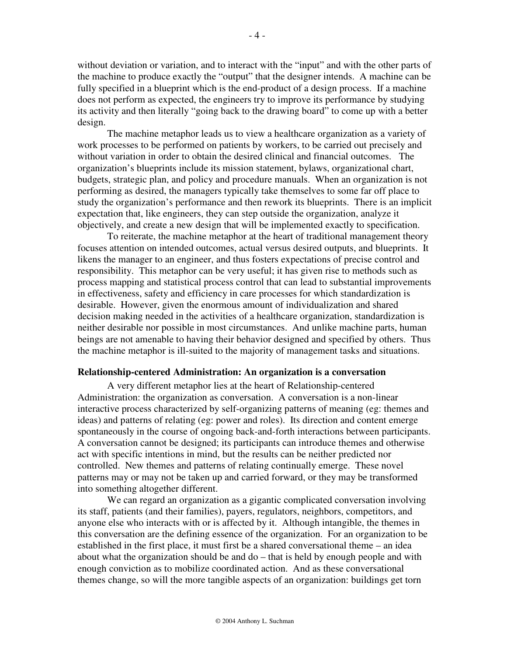without deviation or variation, and to interact with the "input" and with the other parts of the machine to produce exactly the "output" that the designer intends. A machine can be fully specified in a blueprint which is the end-product of a design process. If a machine does not perform as expected, the engineers try to improve its performance by studying its activity and then literally "going back to the drawing board" to come up with a better design.

The machine metaphor leads us to view a healthcare organization as a variety of work processes to be performed on patients by workers, to be carried out precisely and without variation in order to obtain the desired clinical and financial outcomes. The organization's blueprints include its mission statement, bylaws, organizational chart, budgets, strategic plan, and policy and procedure manuals. When an organization is not performing as desired, the managers typically take themselves to some far off place to study the organization's performance and then rework its blueprints. There is an implicit expectation that, like engineers, they can step outside the organization, analyze it objectively, and create a new design that will be implemented exactly to specification.

To reiterate, the machine metaphor at the heart of traditional management theory focuses attention on intended outcomes, actual versus desired outputs, and blueprints. It likens the manager to an engineer, and thus fosters expectations of precise control and responsibility. This metaphor can be very useful; it has given rise to methods such as process mapping and statistical process control that can lead to substantial improvements in effectiveness, safety and efficiency in care processes for which standardization is desirable. However, given the enormous amount of individualization and shared decision making needed in the activities of a healthcare organization, standardization is neither desirable nor possible in most circumstances. And unlike machine parts, human beings are not amenable to having their behavior designed and specified by others. Thus the machine metaphor is ill-suited to the majority of management tasks and situations.

#### **Relationship-centered Administration: An organization is a conversation**

A very different metaphor lies at the heart of Relationship-centered Administration: the organization as conversation. A conversation is a non-linear interactive process characterized by self-organizing patterns of meaning (eg: themes and ideas) and patterns of relating (eg: power and roles). Its direction and content emerge spontaneously in the course of ongoing back-and-forth interactions between participants. A conversation cannot be designed; its participants can introduce themes and otherwise act with specific intentions in mind, but the results can be neither predicted nor controlled. New themes and patterns of relating continually emerge. These novel patterns may or may not be taken up and carried forward, or they may be transformed into something altogether different.

We can regard an organization as a gigantic complicated conversation involving its staff, patients (and their families), payers, regulators, neighbors, competitors, and anyone else who interacts with or is affected by it. Although intangible, the themes in this conversation are the defining essence of the organization. For an organization to be established in the first place, it must first be a shared conversational theme – an idea about what the organization should be and do – that is held by enough people and with enough conviction as to mobilize coordinated action. And as these conversational themes change, so will the more tangible aspects of an organization: buildings get torn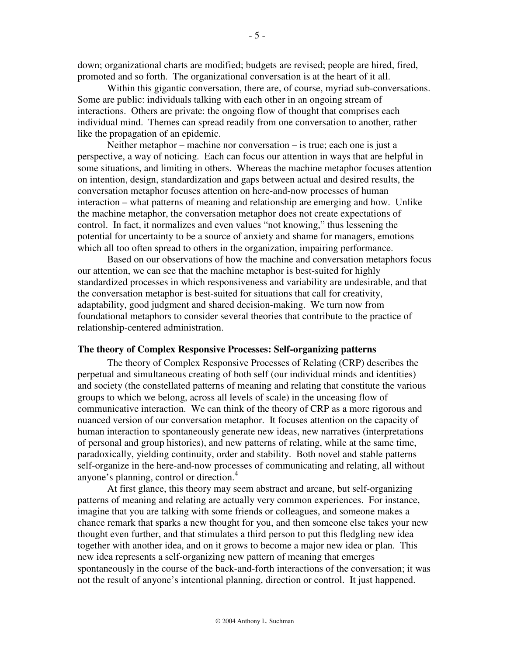down; organizational charts are modified; budgets are revised; people are hired, fired, promoted and so forth. The organizational conversation is at the heart of it all.

Within this gigantic conversation, there are, of course, myriad sub-conversations. Some are public: individuals talking with each other in an ongoing stream of interactions. Others are private: the ongoing flow of thought that comprises each individual mind. Themes can spread readily from one conversation to another, rather like the propagation of an epidemic.

Neither metaphor – machine nor conversation – is true; each one is just a perspective, a way of noticing. Each can focus our attention in ways that are helpful in some situations, and limiting in others. Whereas the machine metaphor focuses attention on intention, design, standardization and gaps between actual and desired results, the conversation metaphor focuses attention on here-and-now processes of human interaction – what patterns of meaning and relationship are emerging and how. Unlike the machine metaphor, the conversation metaphor does not create expectations of control. In fact, it normalizes and even values "not knowing," thus lessening the potential for uncertainty to be a source of anxiety and shame for managers, emotions which all too often spread to others in the organization, impairing performance.

Based on our observations of how the machine and conversation metaphors focus our attention, we can see that the machine metaphor is best-suited for highly standardized processes in which responsiveness and variability are undesirable, and that the conversation metaphor is best-suited for situations that call for creativity, adaptability, good judgment and shared decision-making. We turn now from foundational metaphors to consider several theories that contribute to the practice of relationship-centered administration.

#### **The theory of Complex Responsive Processes: Self-organizing patterns**

The theory of Complex Responsive Processes of Relating (CRP) describes the perpetual and simultaneous creating of both self (our individual minds and identities) and society (the constellated patterns of meaning and relating that constitute the various groups to which we belong, across all levels of scale) in the unceasing flow of communicative interaction. We can think of the theory of CRP as a more rigorous and nuanced version of our conversation metaphor. It focuses attention on the capacity of human interaction to spontaneously generate new ideas, new narratives (interpretations of personal and group histories), and new patterns of relating, while at the same time, paradoxically, yielding continuity, order and stability. Both novel and stable patterns self-organize in the here-and-now processes of communicating and relating, all without anyone's planning, control or direction.<sup>4</sup>

At first glance, this theory may seem abstract and arcane, but self-organizing patterns of meaning and relating are actually very common experiences. For instance, imagine that you are talking with some friends or colleagues, and someone makes a chance remark that sparks a new thought for you, and then someone else takes your new thought even further, and that stimulates a third person to put this fledgling new idea together with another idea, and on it grows to become a major new idea or plan. This new idea represents a self-organizing new pattern of meaning that emerges spontaneously in the course of the back-and-forth interactions of the conversation; it was not the result of anyone's intentional planning, direction or control. It just happened.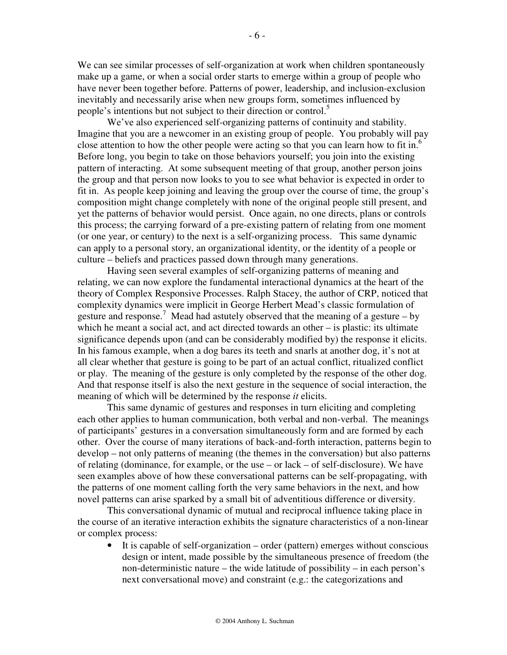We can see similar processes of self-organization at work when children spontaneously make up a game, or when a social order starts to emerge within a group of people who have never been together before. Patterns of power, leadership, and inclusion-exclusion inevitably and necessarily arise when new groups form, sometimes influenced by people's intentions but not subject to their direction or control.<sup>5</sup>

We've also experienced self-organizing patterns of continuity and stability. Imagine that you are a newcomer in an existing group of people. You probably will pay close attention to how the other people were acting so that you can learn how to fit in.<sup>6</sup> Before long, you begin to take on those behaviors yourself; you join into the existing pattern of interacting. At some subsequent meeting of that group, another person joins the group and that person now looks to you to see what behavior is expected in order to fit in. As people keep joining and leaving the group over the course of time, the group's composition might change completely with none of the original people still present, and yet the patterns of behavior would persist. Once again, no one directs, plans or controls this process; the carrying forward of a pre-existing pattern of relating from one moment (or one year, or century) to the next is a self-organizing process. This same dynamic can apply to a personal story, an organizational identity, or the identity of a people or culture – beliefs and practices passed down through many generations.

Having seen several examples of self-organizing patterns of meaning and relating, we can now explore the fundamental interactional dynamics at the heart of the theory of Complex Responsive Processes. Ralph Stacey, the author of CRP, noticed that complexity dynamics were implicit in George Herbert Mead's classic formulation of gesture and response.<sup>7</sup> Mead had astutely observed that the meaning of a gesture  $-$  by which he meant a social act, and act directed towards an other – is plastic: its ultimate significance depends upon (and can be considerably modified by) the response it elicits. In his famous example, when a dog bares its teeth and snarls at another dog, it's not at all clear whether that gesture is going to be part of an actual conflict, ritualized conflict or play. The meaning of the gesture is only completed by the response of the other dog. And that response itself is also the next gesture in the sequence of social interaction, the meaning of which will be determined by the response *it* elicits.

This same dynamic of gestures and responses in turn eliciting and completing each other applies to human communication, both verbal and non-verbal. The meanings of participants' gestures in a conversation simultaneously form and are formed by each other. Over the course of many iterations of back-and-forth interaction, patterns begin to develop – not only patterns of meaning (the themes in the conversation) but also patterns of relating (dominance, for example, or the use – or lack – of self-disclosure). We have seen examples above of how these conversational patterns can be self-propagating, with the patterns of one moment calling forth the very same behaviors in the next, and how novel patterns can arise sparked by a small bit of adventitious difference or diversity.

This conversational dynamic of mutual and reciprocal influence taking place in the course of an iterative interaction exhibits the signature characteristics of a non-linear or complex process:

• It is capable of self-organization – order (pattern) emerges without conscious design or intent, made possible by the simultaneous presence of freedom (the non-deterministic nature – the wide latitude of possibility – in each person's next conversational move) and constraint (e.g.: the categorizations and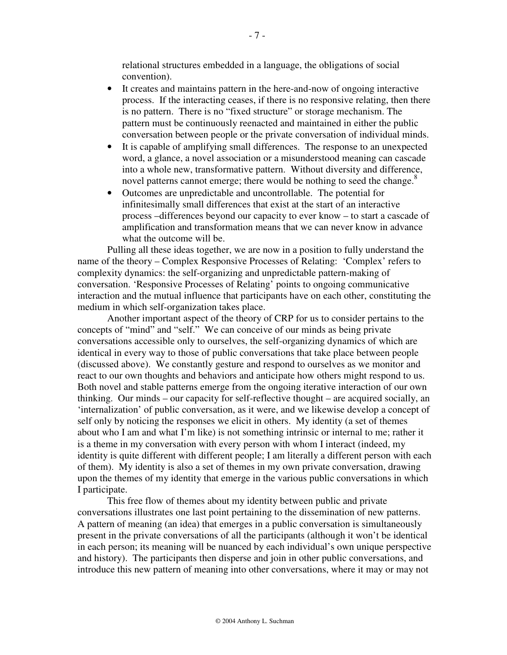relational structures embedded in a language, the obligations of social convention).

- It creates and maintains pattern in the here-and-now of ongoing interactive process. If the interacting ceases, if there is no responsive relating, then there is no pattern. There is no "fixed structure" or storage mechanism. The pattern must be continuously reenacted and maintained in either the public conversation between people or the private conversation of individual minds.
- It is capable of amplifying small differences. The response to an unexpected word, a glance, a novel association or a misunderstood meaning can cascade into a whole new, transformative pattern. Without diversity and difference, novel patterns cannot emerge; there would be nothing to seed the change.<sup>8</sup>
- Outcomes are unpredictable and uncontrollable. The potential for infinitesimally small differences that exist at the start of an interactive process –differences beyond our capacity to ever know – to start a cascade of amplification and transformation means that we can never know in advance what the outcome will be.

Pulling all these ideas together, we are now in a position to fully understand the name of the theory – Complex Responsive Processes of Relating: 'Complex' refers to complexity dynamics: the self-organizing and unpredictable pattern-making of conversation. 'Responsive Processes of Relating' points to ongoing communicative interaction and the mutual influence that participants have on each other, constituting the medium in which self-organization takes place.

Another important aspect of the theory of CRP for us to consider pertains to the concepts of "mind" and "self." We can conceive of our minds as being private conversations accessible only to ourselves, the self-organizing dynamics of which are identical in every way to those of public conversations that take place between people (discussed above). We constantly gesture and respond to ourselves as we monitor and react to our own thoughts and behaviors and anticipate how others might respond to us. Both novel and stable patterns emerge from the ongoing iterative interaction of our own thinking. Our minds – our capacity for self-reflective thought – are acquired socially, an 'internalization' of public conversation, as it were, and we likewise develop a concept of self only by noticing the responses we elicit in others. My identity (a set of themes about who I am and what I'm like) is not something intrinsic or internal to me; rather it is a theme in my conversation with every person with whom I interact (indeed, my identity is quite different with different people; I am literally a different person with each of them). My identity is also a set of themes in my own private conversation, drawing upon the themes of my identity that emerge in the various public conversations in which I participate.

This free flow of themes about my identity between public and private conversations illustrates one last point pertaining to the dissemination of new patterns. A pattern of meaning (an idea) that emerges in a public conversation is simultaneously present in the private conversations of all the participants (although it won't be identical in each person; its meaning will be nuanced by each individual's own unique perspective and history). The participants then disperse and join in other public conversations, and introduce this new pattern of meaning into other conversations, where it may or may not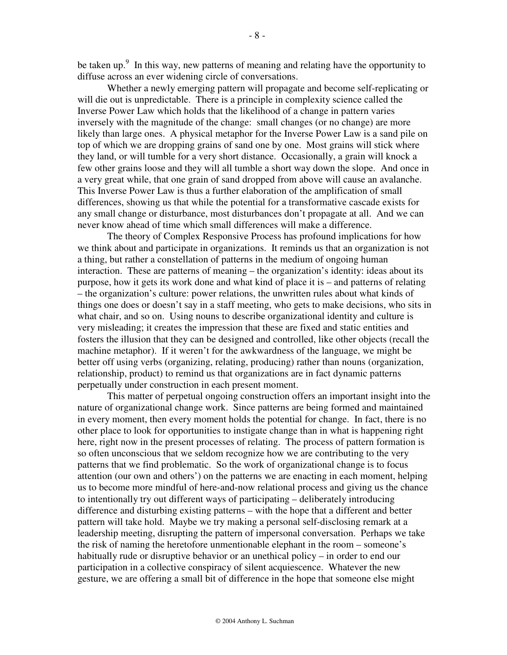be taken up. $9$  In this way, new patterns of meaning and relating have the opportunity to diffuse across an ever widening circle of conversations.

Whether a newly emerging pattern will propagate and become self-replicating or will die out is unpredictable. There is a principle in complexity science called the Inverse Power Law which holds that the likelihood of a change in pattern varies inversely with the magnitude of the change: small changes (or no change) are more likely than large ones. A physical metaphor for the Inverse Power Law is a sand pile on top of which we are dropping grains of sand one by one. Most grains will stick where they land, or will tumble for a very short distance. Occasionally, a grain will knock a few other grains loose and they will all tumble a short way down the slope. And once in a very great while, that one grain of sand dropped from above will cause an avalanche. This Inverse Power Law is thus a further elaboration of the amplification of small differences, showing us that while the potential for a transformative cascade exists for any small change or disturbance, most disturbances don't propagate at all. And we can never know ahead of time which small differences will make a difference.

The theory of Complex Responsive Process has profound implications for how we think about and participate in organizations. It reminds us that an organization is not a thing, but rather a constellation of patterns in the medium of ongoing human interaction. These are patterns of meaning – the organization's identity: ideas about its purpose, how it gets its work done and what kind of place it is – and patterns of relating – the organization's culture: power relations, the unwritten rules about what kinds of things one does or doesn't say in a staff meeting, who gets to make decisions, who sits in what chair, and so on. Using nouns to describe organizational identity and culture is very misleading; it creates the impression that these are fixed and static entities and fosters the illusion that they can be designed and controlled, like other objects (recall the machine metaphor). If it weren't for the awkwardness of the language, we might be better off using verbs (organizing, relating, producing) rather than nouns (organization, relationship, product) to remind us that organizations are in fact dynamic patterns perpetually under construction in each present moment.

This matter of perpetual ongoing construction offers an important insight into the nature of organizational change work. Since patterns are being formed and maintained in every moment, then every moment holds the potential for change. In fact, there is no other place to look for opportunities to instigate change than in what is happening right here, right now in the present processes of relating. The process of pattern formation is so often unconscious that we seldom recognize how we are contributing to the very patterns that we find problematic. So the work of organizational change is to focus attention (our own and others') on the patterns we are enacting in each moment, helping us to become more mindful of here-and-now relational process and giving us the chance to intentionally try out different ways of participating – deliberately introducing difference and disturbing existing patterns – with the hope that a different and better pattern will take hold. Maybe we try making a personal self-disclosing remark at a leadership meeting, disrupting the pattern of impersonal conversation. Perhaps we take the risk of naming the heretofore unmentionable elephant in the room – someone's habitually rude or disruptive behavior or an unethical policy – in order to end our participation in a collective conspiracy of silent acquiescence. Whatever the new gesture, we are offering a small bit of difference in the hope that someone else might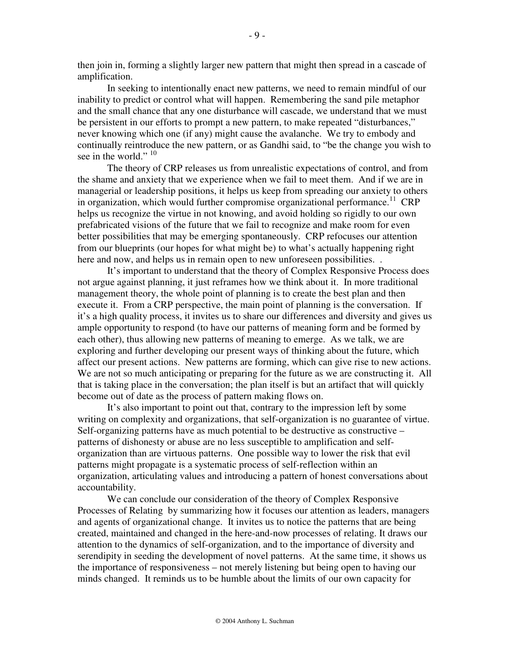then join in, forming a slightly larger new pattern that might then spread in a cascade of amplification.

In seeking to intentionally enact new patterns, we need to remain mindful of our inability to predict or control what will happen. Remembering the sand pile metaphor and the small chance that any one disturbance will cascade, we understand that we must be persistent in our efforts to prompt a new pattern, to make repeated "disturbances," never knowing which one (if any) might cause the avalanche. We try to embody and continually reintroduce the new pattern, or as Gandhi said, to "be the change you wish to see in the world."  $10$ 

The theory of CRP releases us from unrealistic expectations of control, and from the shame and anxiety that we experience when we fail to meet them. And if we are in managerial or leadership positions, it helps us keep from spreading our anxiety to others in organization, which would further compromise organizational performance.<sup>11</sup> CRP helps us recognize the virtue in not knowing, and avoid holding so rigidly to our own prefabricated visions of the future that we fail to recognize and make room for even better possibilities that may be emerging spontaneously. CRP refocuses our attention from our blueprints (our hopes for what might be) to what's actually happening right here and now, and helps us in remain open to new unforeseen possibilities...

It's important to understand that the theory of Complex Responsive Process does not argue against planning, it just reframes how we think about it. In more traditional management theory, the whole point of planning is to create the best plan and then execute it. From a CRP perspective, the main point of planning is the conversation. If it's a high quality process, it invites us to share our differences and diversity and gives us ample opportunity to respond (to have our patterns of meaning form and be formed by each other), thus allowing new patterns of meaning to emerge. As we talk, we are exploring and further developing our present ways of thinking about the future, which affect our present actions. New patterns are forming, which can give rise to new actions. We are not so much anticipating or preparing for the future as we are constructing it. All that is taking place in the conversation; the plan itself is but an artifact that will quickly become out of date as the process of pattern making flows on.

It's also important to point out that, contrary to the impression left by some writing on complexity and organizations, that self-organization is no guarantee of virtue. Self-organizing patterns have as much potential to be destructive as constructive – patterns of dishonesty or abuse are no less susceptible to amplification and selforganization than are virtuous patterns. One possible way to lower the risk that evil patterns might propagate is a systematic process of self-reflection within an organization, articulating values and introducing a pattern of honest conversations about accountability.

We can conclude our consideration of the theory of Complex Responsive Processes of Relating by summarizing how it focuses our attention as leaders, managers and agents of organizational change. It invites us to notice the patterns that are being created, maintained and changed in the here-and-now processes of relating. It draws our attention to the dynamics of self-organization, and to the importance of diversity and serendipity in seeding the development of novel patterns. At the same time, it shows us the importance of responsiveness – not merely listening but being open to having our minds changed. It reminds us to be humble about the limits of our own capacity for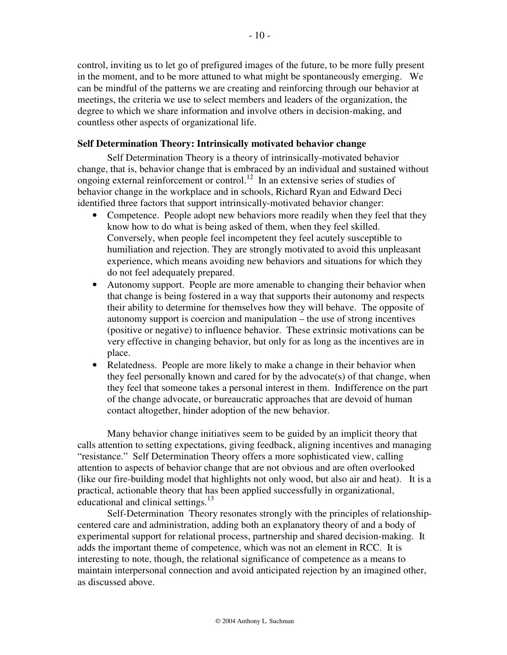control, inviting us to let go of prefigured images of the future, to be more fully present in the moment, and to be more attuned to what might be spontaneously emerging. We can be mindful of the patterns we are creating and reinforcing through our behavior at meetings, the criteria we use to select members and leaders of the organization, the degree to which we share information and involve others in decision-making, and countless other aspects of organizational life.

## **Self Determination Theory: Intrinsically motivated behavior change**

Self Determination Theory is a theory of intrinsically-motivated behavior change, that is, behavior change that is embraced by an individual and sustained without ongoing external reinforcement or control.<sup>12</sup> In an extensive series of studies of behavior change in the workplace and in schools, Richard Ryan and Edward Deci identified three factors that support intrinsically-motivated behavior changer:

- Competence. People adopt new behaviors more readily when they feel that they know how to do what is being asked of them, when they feel skilled. Conversely, when people feel incompetent they feel acutely susceptible to humiliation and rejection. They are strongly motivated to avoid this unpleasant experience, which means avoiding new behaviors and situations for which they do not feel adequately prepared.
- Autonomy support. People are more amenable to changing their behavior when that change is being fostered in a way that supports their autonomy and respects their ability to determine for themselves how they will behave. The opposite of autonomy support is coercion and manipulation – the use of strong incentives (positive or negative) to influence behavior. These extrinsic motivations can be very effective in changing behavior, but only for as long as the incentives are in place.
- Relatedness. People are more likely to make a change in their behavior when they feel personally known and cared for by the advocate(s) of that change, when they feel that someone takes a personal interest in them. Indifference on the part of the change advocate, or bureaucratic approaches that are devoid of human contact altogether, hinder adoption of the new behavior.

Many behavior change initiatives seem to be guided by an implicit theory that calls attention to setting expectations, giving feedback, aligning incentives and managing "resistance." Self Determination Theory offers a more sophisticated view, calling attention to aspects of behavior change that are not obvious and are often overlooked (like our fire-building model that highlights not only wood, but also air and heat). It is a practical, actionable theory that has been applied successfully in organizational, educational and clinical settings.<sup>13</sup>

Self-Determination Theory resonates strongly with the principles of relationshipcentered care and administration, adding both an explanatory theory of and a body of experimental support for relational process, partnership and shared decision-making. It adds the important theme of competence, which was not an element in RCC. It is interesting to note, though, the relational significance of competence as a means to maintain interpersonal connection and avoid anticipated rejection by an imagined other, as discussed above.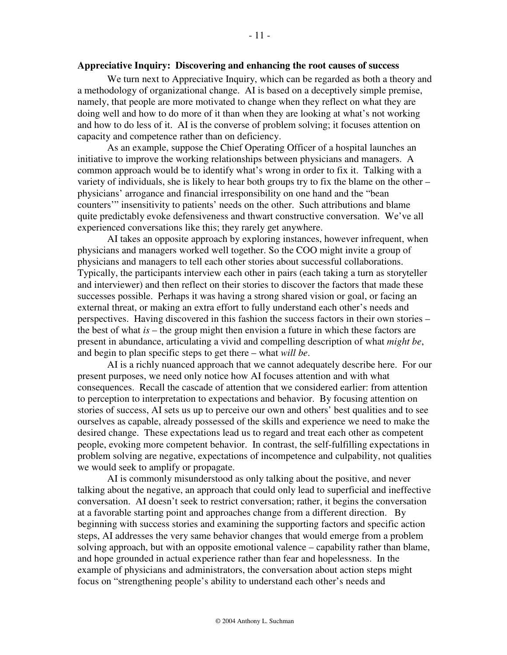#### **Appreciative Inquiry: Discovering and enhancing the root causes of success**

We turn next to Appreciative Inquiry, which can be regarded as both a theory and a methodology of organizational change. AI is based on a deceptively simple premise, namely, that people are more motivated to change when they reflect on what they are doing well and how to do more of it than when they are looking at what's not working and how to do less of it. AI is the converse of problem solving; it focuses attention on capacity and competence rather than on deficiency.

As an example, suppose the Chief Operating Officer of a hospital launches an initiative to improve the working relationships between physicians and managers. A common approach would be to identify what's wrong in order to fix it. Talking with a variety of individuals, she is likely to hear both groups try to fix the blame on the other – physicians' arrogance and financial irresponsibility on one hand and the "bean counters'" insensitivity to patients' needs on the other. Such attributions and blame quite predictably evoke defensiveness and thwart constructive conversation. We've all experienced conversations like this; they rarely get anywhere.

AI takes an opposite approach by exploring instances, however infrequent, when physicians and managers worked well together. So the COO might invite a group of physicians and managers to tell each other stories about successful collaborations. Typically, the participants interview each other in pairs (each taking a turn as storyteller and interviewer) and then reflect on their stories to discover the factors that made these successes possible. Perhaps it was having a strong shared vision or goal, or facing an external threat, or making an extra effort to fully understand each other's needs and perspectives. Having discovered in this fashion the success factors in their own stories – the best of what *is* – the group might then envision a future in which these factors are present in abundance, articulating a vivid and compelling description of what *might be*, and begin to plan specific steps to get there – what *will be*.

AI is a richly nuanced approach that we cannot adequately describe here. For our present purposes, we need only notice how AI focuses attention and with what consequences. Recall the cascade of attention that we considered earlier: from attention to perception to interpretation to expectations and behavior. By focusing attention on stories of success, AI sets us up to perceive our own and others' best qualities and to see ourselves as capable, already possessed of the skills and experience we need to make the desired change. These expectations lead us to regard and treat each other as competent people, evoking more competent behavior. In contrast, the self-fulfilling expectations in problem solving are negative, expectations of incompetence and culpability, not qualities we would seek to amplify or propagate.

AI is commonly misunderstood as only talking about the positive, and never talking about the negative, an approach that could only lead to superficial and ineffective conversation. AI doesn't seek to restrict conversation; rather, it begins the conversation at a favorable starting point and approaches change from a different direction. By beginning with success stories and examining the supporting factors and specific action steps, AI addresses the very same behavior changes that would emerge from a problem solving approach, but with an opposite emotional valence – capability rather than blame, and hope grounded in actual experience rather than fear and hopelessness. In the example of physicians and administrators, the conversation about action steps might focus on "strengthening people's ability to understand each other's needs and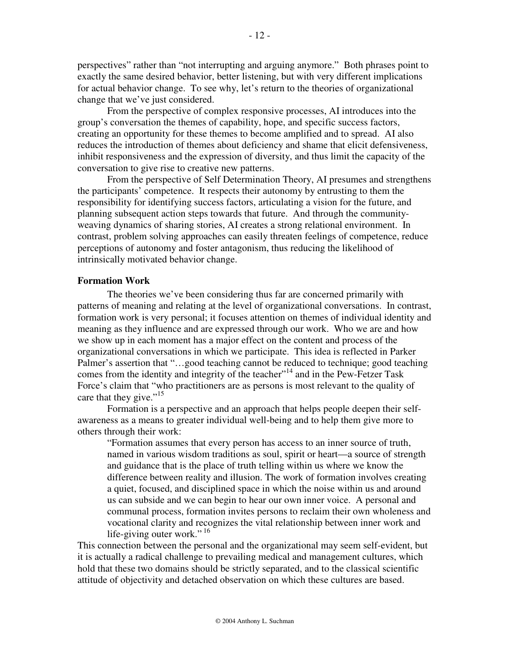perspectives" rather than "not interrupting and arguing anymore." Both phrases point to exactly the same desired behavior, better listening, but with very different implications for actual behavior change. To see why, let's return to the theories of organizational change that we've just considered.

From the perspective of complex responsive processes, AI introduces into the group's conversation the themes of capability, hope, and specific success factors, creating an opportunity for these themes to become amplified and to spread. AI also reduces the introduction of themes about deficiency and shame that elicit defensiveness, inhibit responsiveness and the expression of diversity, and thus limit the capacity of the conversation to give rise to creative new patterns.

From the perspective of Self Determination Theory, AI presumes and strengthens the participants' competence. It respects their autonomy by entrusting to them the responsibility for identifying success factors, articulating a vision for the future, and planning subsequent action steps towards that future. And through the communityweaving dynamics of sharing stories, AI creates a strong relational environment. In contrast, problem solving approaches can easily threaten feelings of competence, reduce perceptions of autonomy and foster antagonism, thus reducing the likelihood of intrinsically motivated behavior change.

#### **Formation Work**

The theories we've been considering thus far are concerned primarily with patterns of meaning and relating at the level of organizational conversations. In contrast, formation work is very personal; it focuses attention on themes of individual identity and meaning as they influence and are expressed through our work. Who we are and how we show up in each moment has a major effect on the content and process of the organizational conversations in which we participate. This idea is reflected in Parker Palmer's assertion that "…good teaching cannot be reduced to technique; good teaching comes from the identity and integrity of the teacher $1/14$  and in the Pew-Fetzer Task Force's claim that "who practitioners are as persons is most relevant to the quality of care that they give."<sup>15</sup>

Formation is a perspective and an approach that helps people deepen their selfawareness as a means to greater individual well-being and to help them give more to others through their work:

"Formation assumes that every person has access to an inner source of truth, named in various wisdom traditions as soul, spirit or heart—a source of strength and guidance that is the place of truth telling within us where we know the difference between reality and illusion. The work of formation involves creating a quiet, focused, and disciplined space in which the noise within us and around us can subside and we can begin to hear our own inner voice. A personal and communal process, formation invites persons to reclaim their own wholeness and vocational clarity and recognizes the vital relationship between inner work and life-giving outer work."<sup>16</sup>

This connection between the personal and the organizational may seem self-evident, but it is actually a radical challenge to prevailing medical and management cultures, which hold that these two domains should be strictly separated, and to the classical scientific attitude of objectivity and detached observation on which these cultures are based.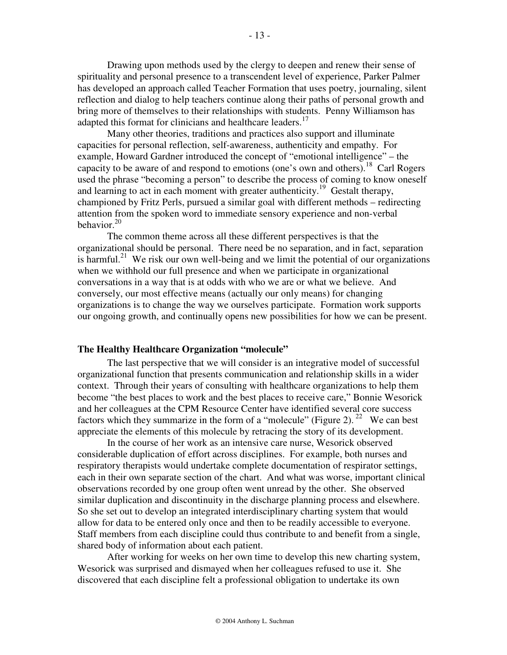Drawing upon methods used by the clergy to deepen and renew their sense of spirituality and personal presence to a transcendent level of experience, Parker Palmer has developed an approach called Teacher Formation that uses poetry, journaling, silent reflection and dialog to help teachers continue along their paths of personal growth and bring more of themselves to their relationships with students. Penny Williamson has adapted this format for clinicians and healthcare leaders.<sup>17</sup>

 Many other theories, traditions and practices also support and illuminate capacities for personal reflection, self-awareness, authenticity and empathy. For example, Howard Gardner introduced the concept of "emotional intelligence" – the capacity to be aware of and respond to emotions (one's own and others).<sup>18</sup> Carl Rogers used the phrase "becoming a person" to describe the process of coming to know oneself and learning to act in each moment with greater authenticity.<sup>19</sup> Gestalt therapy, championed by Fritz Perls, pursued a similar goal with different methods – redirecting attention from the spoken word to immediate sensory experience and non-verbal behavior.<sup>20</sup>

 The common theme across all these different perspectives is that the organizational should be personal. There need be no separation, and in fact, separation is harmful.<sup>21</sup> We risk our own well-being and we limit the potential of our organizations when we withhold our full presence and when we participate in organizational conversations in a way that is at odds with who we are or what we believe. And conversely, our most effective means (actually our only means) for changing organizations is to change the way we ourselves participate. Formation work supports our ongoing growth, and continually opens new possibilities for how we can be present.

#### **The Healthy Healthcare Organization "molecule"**

The last perspective that we will consider is an integrative model of successful organizational function that presents communication and relationship skills in a wider context. Through their years of consulting with healthcare organizations to help them become "the best places to work and the best places to receive care," Bonnie Wesorick and her colleagues at the CPM Resource Center have identified several core success factors which they summarize in the form of a "molecule" (Figure 2).<sup>22</sup> We can best appreciate the elements of this molecule by retracing the story of its development.

In the course of her work as an intensive care nurse, Wesorick observed considerable duplication of effort across disciplines. For example, both nurses and respiratory therapists would undertake complete documentation of respirator settings, each in their own separate section of the chart. And what was worse, important clinical observations recorded by one group often went unread by the other. She observed similar duplication and discontinuity in the discharge planning process and elsewhere. So she set out to develop an integrated interdisciplinary charting system that would allow for data to be entered only once and then to be readily accessible to everyone. Staff members from each discipline could thus contribute to and benefit from a single, shared body of information about each patient.

After working for weeks on her own time to develop this new charting system, Wesorick was surprised and dismayed when her colleagues refused to use it. She discovered that each discipline felt a professional obligation to undertake its own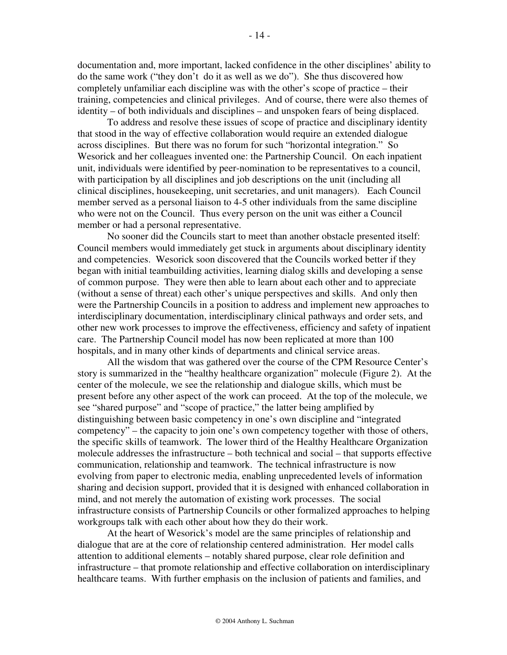documentation and, more important, lacked confidence in the other disciplines' ability to do the same work ("they don't do it as well as we do"). She thus discovered how completely unfamiliar each discipline was with the other's scope of practice – their training, competencies and clinical privileges. And of course, there were also themes of identity – of both individuals and disciplines – and unspoken fears of being displaced.

To address and resolve these issues of scope of practice and disciplinary identity that stood in the way of effective collaboration would require an extended dialogue across disciplines. But there was no forum for such "horizontal integration." So Wesorick and her colleagues invented one: the Partnership Council. On each inpatient unit, individuals were identified by peer-nomination to be representatives to a council, with participation by all disciplines and job descriptions on the unit (including all clinical disciplines, housekeeping, unit secretaries, and unit managers). Each Council member served as a personal liaison to 4-5 other individuals from the same discipline who were not on the Council. Thus every person on the unit was either a Council member or had a personal representative.

No sooner did the Councils start to meet than another obstacle presented itself: Council members would immediately get stuck in arguments about disciplinary identity and competencies. Wesorick soon discovered that the Councils worked better if they began with initial teambuilding activities, learning dialog skills and developing a sense of common purpose. They were then able to learn about each other and to appreciate (without a sense of threat) each other's unique perspectives and skills. And only then were the Partnership Councils in a position to address and implement new approaches to interdisciplinary documentation, interdisciplinary clinical pathways and order sets, and other new work processes to improve the effectiveness, efficiency and safety of inpatient care. The Partnership Council model has now been replicated at more than 100 hospitals, and in many other kinds of departments and clinical service areas.

All the wisdom that was gathered over the course of the CPM Resource Center's story is summarized in the "healthy healthcare organization" molecule (Figure 2). At the center of the molecule, we see the relationship and dialogue skills, which must be present before any other aspect of the work can proceed. At the top of the molecule, we see "shared purpose" and "scope of practice," the latter being amplified by distinguishing between basic competency in one's own discipline and "integrated competency" – the capacity to join one's own competency together with those of others, the specific skills of teamwork. The lower third of the Healthy Healthcare Organization molecule addresses the infrastructure – both technical and social – that supports effective communication, relationship and teamwork. The technical infrastructure is now evolving from paper to electronic media, enabling unprecedented levels of information sharing and decision support, provided that it is designed with enhanced collaboration in mind, and not merely the automation of existing work processes. The social infrastructure consists of Partnership Councils or other formalized approaches to helping workgroups talk with each other about how they do their work.

 At the heart of Wesorick's model are the same principles of relationship and dialogue that are at the core of relationship centered administration. Her model calls attention to additional elements – notably shared purpose, clear role definition and infrastructure – that promote relationship and effective collaboration on interdisciplinary healthcare teams. With further emphasis on the inclusion of patients and families, and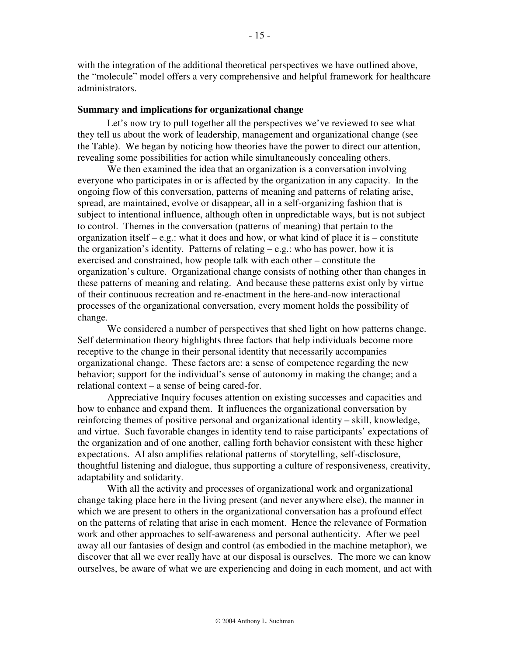with the integration of the additional theoretical perspectives we have outlined above, the "molecule" model offers a very comprehensive and helpful framework for healthcare administrators.

#### **Summary and implications for organizational change**

Let's now try to pull together all the perspectives we've reviewed to see what they tell us about the work of leadership, management and organizational change (see the Table). We began by noticing how theories have the power to direct our attention, revealing some possibilities for action while simultaneously concealing others.

We then examined the idea that an organization is a conversation involving everyone who participates in or is affected by the organization in any capacity. In the ongoing flow of this conversation, patterns of meaning and patterns of relating arise, spread, are maintained, evolve or disappear, all in a self-organizing fashion that is subject to intentional influence, although often in unpredictable ways, but is not subject to control. Themes in the conversation (patterns of meaning) that pertain to the organization itself – e.g.: what it does and how, or what kind of place it is – constitute the organization's identity. Patterns of relating  $-e.g.:$  who has power, how it is exercised and constrained, how people talk with each other – constitute the organization's culture. Organizational change consists of nothing other than changes in these patterns of meaning and relating. And because these patterns exist only by virtue of their continuous recreation and re-enactment in the here-and-now interactional processes of the organizational conversation, every moment holds the possibility of change.

 We considered a number of perspectives that shed light on how patterns change. Self determination theory highlights three factors that help individuals become more receptive to the change in their personal identity that necessarily accompanies organizational change. These factors are: a sense of competence regarding the new behavior; support for the individual's sense of autonomy in making the change; and a relational context – a sense of being cared-for.

Appreciative Inquiry focuses attention on existing successes and capacities and how to enhance and expand them. It influences the organizational conversation by reinforcing themes of positive personal and organizational identity – skill, knowledge, and virtue. Such favorable changes in identity tend to raise participants' expectations of the organization and of one another, calling forth behavior consistent with these higher expectations. AI also amplifies relational patterns of storytelling, self-disclosure, thoughtful listening and dialogue, thus supporting a culture of responsiveness, creativity, adaptability and solidarity.

 With all the activity and processes of organizational work and organizational change taking place here in the living present (and never anywhere else), the manner in which we are present to others in the organizational conversation has a profound effect on the patterns of relating that arise in each moment. Hence the relevance of Formation work and other approaches to self-awareness and personal authenticity. After we peel away all our fantasies of design and control (as embodied in the machine metaphor), we discover that all we ever really have at our disposal is ourselves. The more we can know ourselves, be aware of what we are experiencing and doing in each moment, and act with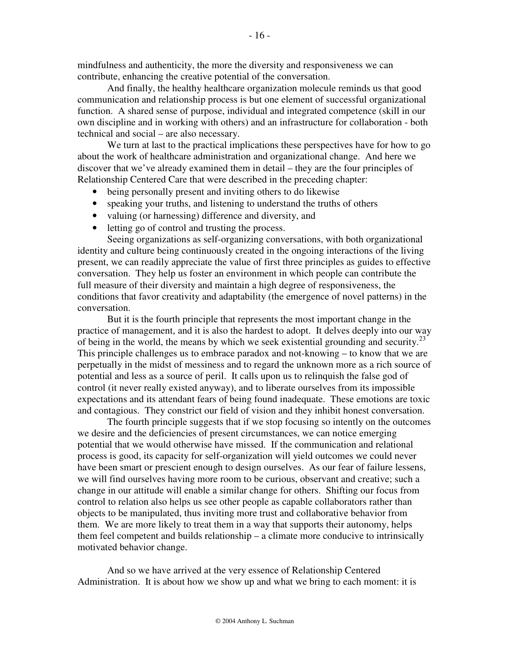mindfulness and authenticity, the more the diversity and responsiveness we can contribute, enhancing the creative potential of the conversation.

 And finally, the healthy healthcare organization molecule reminds us that good communication and relationship process is but one element of successful organizational function. A shared sense of purpose, individual and integrated competence (skill in our own discipline and in working with others) and an infrastructure for collaboration - both technical and social – are also necessary.

 We turn at last to the practical implications these perspectives have for how to go about the work of healthcare administration and organizational change. And here we discover that we've already examined them in detail – they are the four principles of Relationship Centered Care that were described in the preceding chapter:

- being personally present and inviting others to do likewise
- speaking your truths, and listening to understand the truths of others
- valuing (or harnessing) difference and diversity, and
- letting go of control and trusting the process.

Seeing organizations as self-organizing conversations, with both organizational identity and culture being continuously created in the ongoing interactions of the living present, we can readily appreciate the value of first three principles as guides to effective conversation. They help us foster an environment in which people can contribute the full measure of their diversity and maintain a high degree of responsiveness, the conditions that favor creativity and adaptability (the emergence of novel patterns) in the conversation.

But it is the fourth principle that represents the most important change in the practice of management, and it is also the hardest to adopt. It delves deeply into our way of being in the world, the means by which we seek existential grounding and security.<sup>23</sup> This principle challenges us to embrace paradox and not-knowing – to know that we are perpetually in the midst of messiness and to regard the unknown more as a rich source of potential and less as a source of peril. It calls upon us to relinquish the false god of control (it never really existed anyway), and to liberate ourselves from its impossible expectations and its attendant fears of being found inadequate. These emotions are toxic and contagious. They constrict our field of vision and they inhibit honest conversation.

The fourth principle suggests that if we stop focusing so intently on the outcomes we desire and the deficiencies of present circumstances, we can notice emerging potential that we would otherwise have missed. If the communication and relational process is good, its capacity for self-organization will yield outcomes we could never have been smart or prescient enough to design ourselves. As our fear of failure lessens, we will find ourselves having more room to be curious, observant and creative; such a change in our attitude will enable a similar change for others. Shifting our focus from control to relation also helps us see other people as capable collaborators rather than objects to be manipulated, thus inviting more trust and collaborative behavior from them. We are more likely to treat them in a way that supports their autonomy, helps them feel competent and builds relationship – a climate more conducive to intrinsically motivated behavior change.

 And so we have arrived at the very essence of Relationship Centered Administration. It is about how we show up and what we bring to each moment: it is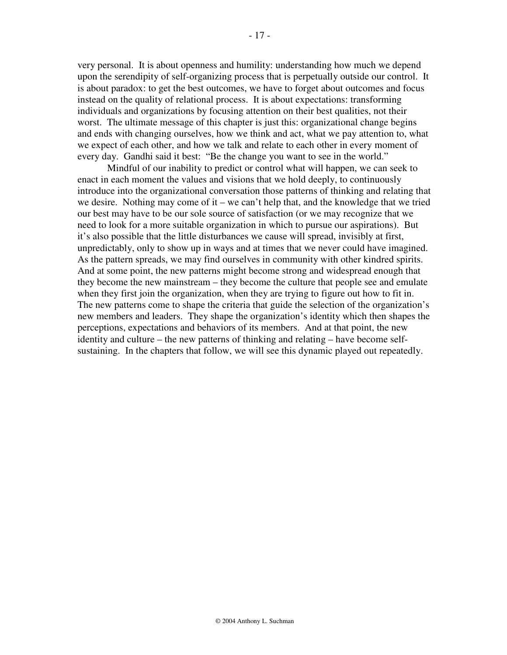very personal. It is about openness and humility: understanding how much we depend upon the serendipity of self-organizing process that is perpetually outside our control. It is about paradox: to get the best outcomes, we have to forget about outcomes and focus instead on the quality of relational process. It is about expectations: transforming individuals and organizations by focusing attention on their best qualities, not their worst. The ultimate message of this chapter is just this: organizational change begins and ends with changing ourselves, how we think and act, what we pay attention to, what we expect of each other, and how we talk and relate to each other in every moment of every day. Gandhi said it best: "Be the change you want to see in the world."

Mindful of our inability to predict or control what will happen, we can seek to enact in each moment the values and visions that we hold deeply, to continuously introduce into the organizational conversation those patterns of thinking and relating that we desire. Nothing may come of it – we can't help that, and the knowledge that we tried our best may have to be our sole source of satisfaction (or we may recognize that we need to look for a more suitable organization in which to pursue our aspirations). But it's also possible that the little disturbances we cause will spread, invisibly at first, unpredictably, only to show up in ways and at times that we never could have imagined. As the pattern spreads, we may find ourselves in community with other kindred spirits. And at some point, the new patterns might become strong and widespread enough that they become the new mainstream – they become the culture that people see and emulate when they first join the organization, when they are trying to figure out how to fit in. The new patterns come to shape the criteria that guide the selection of the organization's new members and leaders. They shape the organization's identity which then shapes the perceptions, expectations and behaviors of its members. And at that point, the new identity and culture – the new patterns of thinking and relating – have become selfsustaining. In the chapters that follow, we will see this dynamic played out repeatedly.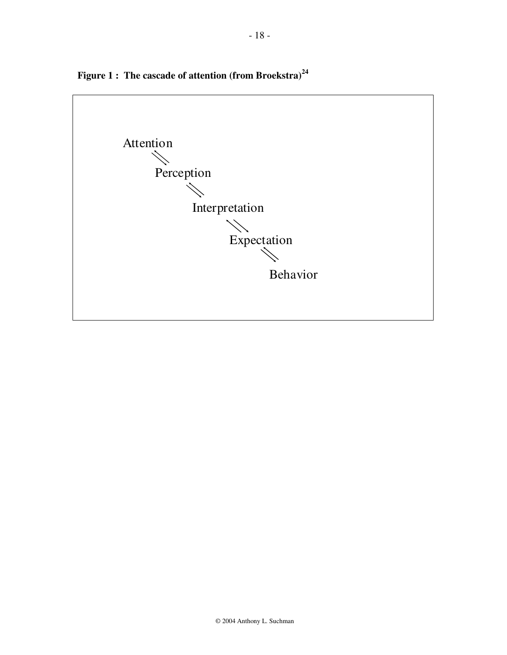

**Figure 1 : The cascade of attention (from Broekstra)<sup>24</sup>**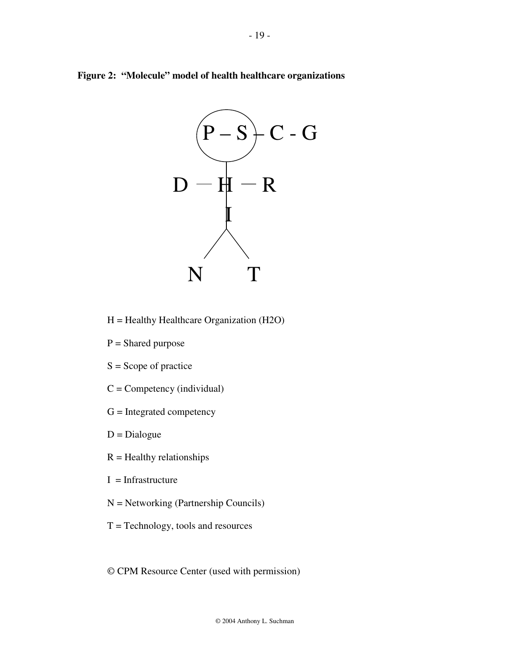



H = Healthy Healthcare Organization (H2O)

- $P =$ Shared purpose
- $S =$ Scope of practice
- $C =$  Competency (individual)
- $G =$  Integrated competency
- $D = Dialogue$
- $R =$  Healthy relationships
- $I = Infrastructure$
- N = Networking (Partnership Councils)
- $T = Technology$ , tools and resources
- © CPM Resource Center (used with permission)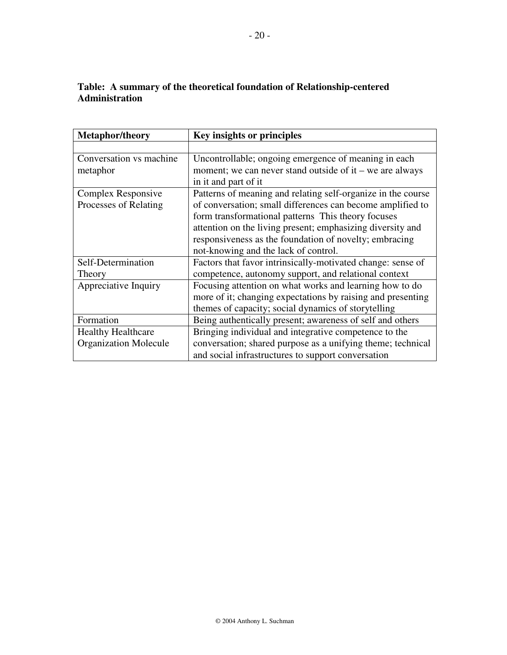## **Table: A summary of the theoretical foundation of Relationship-centered Administration**

| <b>Metaphor/theory</b>       | Key insights or principles                                   |
|------------------------------|--------------------------------------------------------------|
|                              |                                                              |
| Conversation vs machine      | Uncontrollable; ongoing emergence of meaning in each         |
| metaphor                     | moment; we can never stand outside of it – we are always     |
|                              | in it and part of it                                         |
| Complex Responsive           | Patterns of meaning and relating self-organize in the course |
| Processes of Relating        | of conversation; small differences can become amplified to   |
|                              | form transformational patterns This theory focuses           |
|                              | attention on the living present; emphasizing diversity and   |
|                              | responsiveness as the foundation of novelty; embracing       |
|                              | not-knowing and the lack of control.                         |
| Self-Determination           | Factors that favor intrinsically-motivated change: sense of  |
| Theory                       | competence, autonomy support, and relational context         |
| Appreciative Inquiry         | Focusing attention on what works and learning how to do      |
|                              | more of it; changing expectations by raising and presenting  |
|                              | themes of capacity; social dynamics of storytelling          |
| Formation                    | Being authentically present; awareness of self and others    |
| <b>Healthy Healthcare</b>    | Bringing individual and integrative competence to the        |
| <b>Organization Molecule</b> | conversation; shared purpose as a unifying theme; technical  |
|                              | and social infrastructures to support conversation           |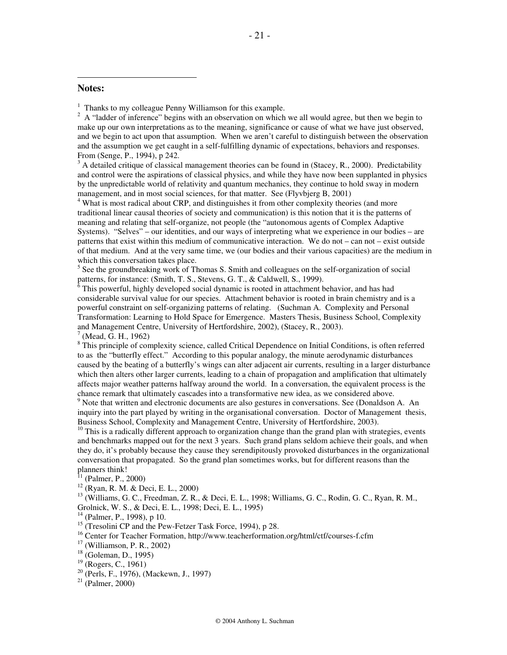#### **Notes:**

 $\overline{a}$ 

<sup>1</sup> Thanks to my colleague Penny Williamson for this example.

 $2 \text{ A}$  "ladder of inference" begins with an observation on which we all would agree, but then we begin to make up our own interpretations as to the meaning, significance or cause of what we have just observed, and we begin to act upon that assumption. When we aren't careful to distinguish between the observation and the assumption we get caught in a self-fulfilling dynamic of expectations, behaviors and responses. From (Senge, P., 1994), p 242.

 $3$  A detailed critique of classical management theories can be found in (Stacey, R., 2000). Predictability and control were the aspirations of classical physics, and while they have now been supplanted in physics by the unpredictable world of relativity and quantum mechanics, they continue to hold sway in modern management, and in most social sciences, for that matter. See (Flyvbjerg B, 2001)

<sup>4</sup> What is most radical about CRP, and distinguishes it from other complexity theories (and more traditional linear causal theories of society and communication) is this notion that it is the patterns of meaning and relating that self-organize, not people (the "autonomous agents of Complex Adaptive Systems). "Selves" – our identities, and our ways of interpreting what we experience in our bodies – are patterns that exist within this medium of communicative interaction. We do not – can not – exist outside of that medium. And at the very same time, we (our bodies and their various capacities) are the medium in which this conversation takes place.

<sup>5</sup> See the groundbreaking work of Thomas S. Smith and colleagues on the self-organization of social patterns, for instance: (Smith, T. S., Stevens, G. T., & Caldwell, S., 1999).

6 This powerful, highly developed social dynamic is rooted in attachment behavior, and has had considerable survival value for our species. Attachment behavior is rooted in brain chemistry and is a powerful constraint on self-organizing patterns of relating. (Suchman A. Complexity and Personal Transformation: Learning to Hold Space for Emergence. Masters Thesis, Business School, Complexity and Management Centre, University of Hertfordshire, 2002), (Stacey, R., 2003).

7 (Mead, G. H., 1962)

<sup>8</sup> This principle of complexity science, called Critical Dependence on Initial Conditions, is often referred to as the "butterfly effect." According to this popular analogy, the minute aerodynamic disturbances caused by the beating of a butterfly's wings can alter adjacent air currents, resulting in a larger disturbance which then alters other larger currents, leading to a chain of propagation and amplification that ultimately affects major weather patterns halfway around the world. In a conversation, the equivalent process is the chance remark that ultimately cascades into a transformative new idea, as we considered above.

 $9$  Note that written and electronic documents are also gestures in conversations. See (Donaldson A. An inquiry into the part played by writing in the organisational conversation. Doctor of Management thesis, Business School, Complexity and Management Centre, University of Hertfordshire, 2003).

 $10$  This is a radically different approach to organization change than the grand plan with strategies, events and benchmarks mapped out for the next 3 years. Such grand plans seldom achieve their goals, and when they do, it's probably because they cause they serendipitously provoked disturbances in the organizational conversation that propagated. So the grand plan sometimes works, but for different reasons than the planners think!

(Palmer, P., 2000)

 $12$  (Ryan, R. M. & Deci, E. L., 2000)

<sup>13</sup> (Williams, G. C., Freedman, Z. R., & Deci, E. L., 1998; Williams, G. C., Rodin, G. C., Ryan, R. M., Grolnick, W. S., & Deci, E. L., 1998; Deci, E. L., 1995)

 $14$  (Palmer, P., 1998), p 10.

 $^{15}$  (Tresolini CP and the Pew-Fetzer Task Force, 1994), p 28.

<sup>16</sup> Center for Teacher Formation, http://www.teacherformation.org/html/ctf/courses-f.cfm

<sup>17</sup> (Williamson, P. R., 2002)

<sup>18</sup> (Goleman, D., 1995)

<sup>20</sup> (Perls, F., 1976), (Mackewn, J., 1997)

 $21$  (Palmer, 2000)

 $19$  (Rogers, C., 1961)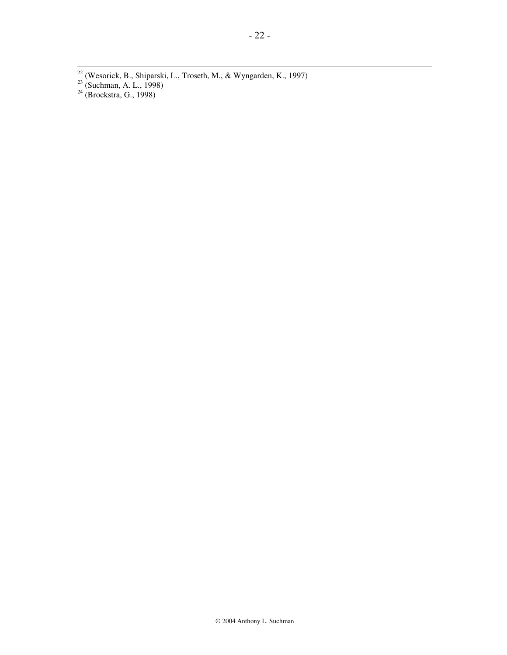- $22$  (Wesorick, B., Shiparski, L., Troseth, M., & Wyngarden, K., 1997)
- $23$  (Suchman, A. L., 1998)

 $\overline{a}$ 

 $24$  (Broekstra, G., 1998)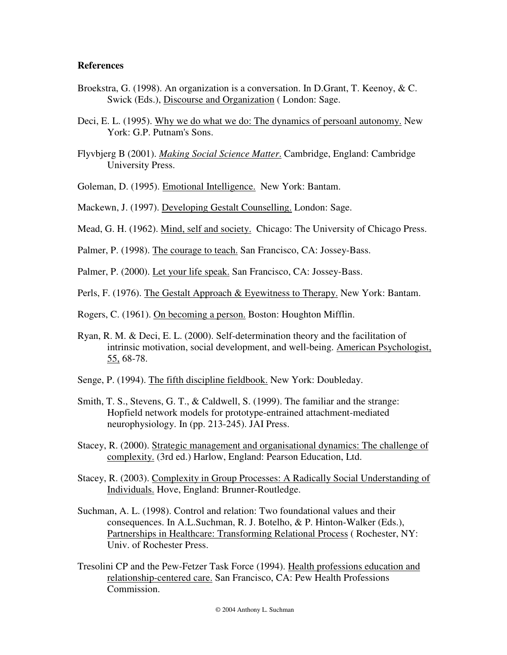## **References**

- Broekstra, G. (1998). An organization is a conversation. In D.Grant, T. Keenoy, & C. Swick (Eds.), Discourse and Organization ( London: Sage.
- Deci, E. L. (1995). Why we do what we do: The dynamics of persoanl autonomy. New York: G.P. Putnam's Sons.
- Flyvbjerg B (2001). *Making Social Science Matter*. Cambridge, England: Cambridge University Press.
- Goleman, D. (1995). Emotional Intelligence. New York: Bantam.

Mackewn, J. (1997). Developing Gestalt Counselling. London: Sage.

- Mead, G. H. (1962). Mind, self and society. Chicago: The University of Chicago Press.
- Palmer, P. (1998). The courage to teach. San Francisco, CA: Jossey-Bass.

Palmer, P. (2000). Let your life speak. San Francisco, CA: Jossey-Bass.

Perls, F. (1976). The Gestalt Approach & Eyewitness to Therapy. New York: Bantam.

- Rogers, C. (1961). On becoming a person. Boston: Houghton Mifflin.
- Ryan, R. M. & Deci, E. L. (2000). Self-determination theory and the facilitation of intrinsic motivation, social development, and well-being. American Psychologist, 55, 68-78.
- Senge, P. (1994). The fifth discipline fieldbook. New York: Doubleday.
- Smith, T. S., Stevens, G. T., & Caldwell, S. (1999). The familiar and the strange: Hopfield network models for prototype-entrained attachment-mediated neurophysiology. In (pp. 213-245). JAI Press.
- Stacey, R. (2000). Strategic management and organisational dynamics: The challenge of complexity. (3rd ed.) Harlow, England: Pearson Education, Ltd.
- Stacey, R. (2003). Complexity in Group Processes: A Radically Social Understanding of Individuals. Hove, England: Brunner-Routledge.
- Suchman, A. L. (1998). Control and relation: Two foundational values and their consequences. In A.L.Suchman, R. J. Botelho, & P. Hinton-Walker (Eds.), Partnerships in Healthcare: Transforming Relational Process ( Rochester, NY: Univ. of Rochester Press.
- Tresolini CP and the Pew-Fetzer Task Force (1994). Health professions education and relationship-centered care. San Francisco, CA: Pew Health Professions Commission.